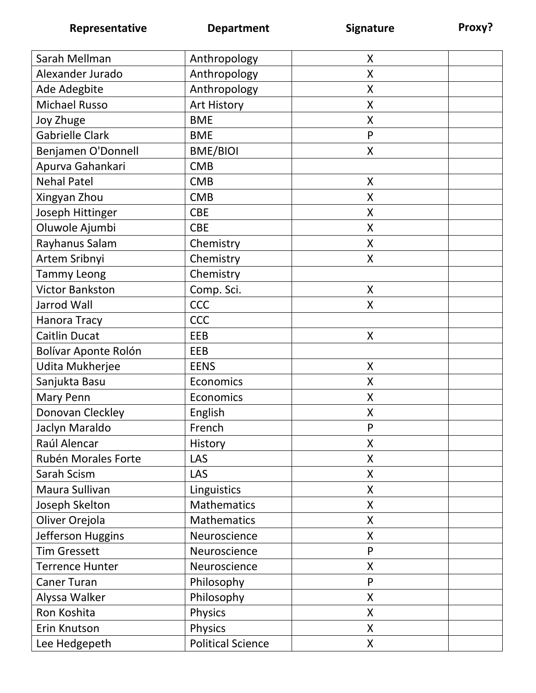| Alexander Jurado<br>Anthropology<br>X<br>Ade Adegbite<br>Anthropology<br>X<br><b>Michael Russo</b><br>Art History<br>X<br><b>BME</b><br>Joy Zhuge<br>X<br><b>Gabrielle Clark</b><br><b>BME</b><br>P<br>Benjamen O'Donnell<br><b>BME/BIOI</b><br>$\sf X$<br>Apurva Gahankari<br><b>CMB</b><br><b>Nehal Patel</b><br>$\sf X$<br><b>CMB</b><br>Xingyan Zhou<br><b>CMB</b><br>X<br>Joseph Hittinger<br><b>CBE</b><br>Χ<br>Oluwole Ajumbi<br><b>CBE</b><br>X<br>Rayhanus Salam<br>Chemistry<br>Χ<br>Artem Sribnyi<br>Chemistry<br>X<br><b>Tammy Leong</b><br>Chemistry<br><b>Victor Bankston</b><br>Comp. Sci.<br>X<br><b>CCC</b><br>Jarrod Wall<br>X<br><b>CCC</b><br>Hanora Tracy<br><b>Caitlin Ducat</b><br>EEB<br>X<br>Bolívar Aponte Rolón<br>EEB<br>Udita Mukherjee<br><b>EENS</b><br>X<br>Sanjukta Basu<br>Economics<br>Χ<br>Mary Penn<br>Economics<br>X<br>Donovan Cleckley<br>English<br>$\sf X$<br>Jaclyn Maraldo<br>French<br>P<br>Raúl Alencar<br>History<br>X<br>Rubén Morales Forte<br>LAS<br>Χ<br>Sarah Scism<br><b>LAS</b><br>Χ<br>Linguistics<br>Maura Sullivan<br>X<br>Mathematics<br>Joseph Skelton<br>X<br>Oliver Orejola<br>Mathematics<br>X |                   |              |   |
|--------------------------------------------------------------------------------------------------------------------------------------------------------------------------------------------------------------------------------------------------------------------------------------------------------------------------------------------------------------------------------------------------------------------------------------------------------------------------------------------------------------------------------------------------------------------------------------------------------------------------------------------------------------------------------------------------------------------------------------------------------------------------------------------------------------------------------------------------------------------------------------------------------------------------------------------------------------------------------------------------------------------------------------------------------------------------------------------------------------------------------------------------------------|-------------------|--------------|---|
|                                                                                                                                                                                                                                                                                                                                                                                                                                                                                                                                                                                                                                                                                                                                                                                                                                                                                                                                                                                                                                                                                                                                                              | Sarah Mellman     | Anthropology | X |
|                                                                                                                                                                                                                                                                                                                                                                                                                                                                                                                                                                                                                                                                                                                                                                                                                                                                                                                                                                                                                                                                                                                                                              |                   |              |   |
|                                                                                                                                                                                                                                                                                                                                                                                                                                                                                                                                                                                                                                                                                                                                                                                                                                                                                                                                                                                                                                                                                                                                                              |                   |              |   |
|                                                                                                                                                                                                                                                                                                                                                                                                                                                                                                                                                                                                                                                                                                                                                                                                                                                                                                                                                                                                                                                                                                                                                              |                   |              |   |
|                                                                                                                                                                                                                                                                                                                                                                                                                                                                                                                                                                                                                                                                                                                                                                                                                                                                                                                                                                                                                                                                                                                                                              |                   |              |   |
|                                                                                                                                                                                                                                                                                                                                                                                                                                                                                                                                                                                                                                                                                                                                                                                                                                                                                                                                                                                                                                                                                                                                                              |                   |              |   |
|                                                                                                                                                                                                                                                                                                                                                                                                                                                                                                                                                                                                                                                                                                                                                                                                                                                                                                                                                                                                                                                                                                                                                              |                   |              |   |
|                                                                                                                                                                                                                                                                                                                                                                                                                                                                                                                                                                                                                                                                                                                                                                                                                                                                                                                                                                                                                                                                                                                                                              |                   |              |   |
|                                                                                                                                                                                                                                                                                                                                                                                                                                                                                                                                                                                                                                                                                                                                                                                                                                                                                                                                                                                                                                                                                                                                                              |                   |              |   |
|                                                                                                                                                                                                                                                                                                                                                                                                                                                                                                                                                                                                                                                                                                                                                                                                                                                                                                                                                                                                                                                                                                                                                              |                   |              |   |
|                                                                                                                                                                                                                                                                                                                                                                                                                                                                                                                                                                                                                                                                                                                                                                                                                                                                                                                                                                                                                                                                                                                                                              |                   |              |   |
|                                                                                                                                                                                                                                                                                                                                                                                                                                                                                                                                                                                                                                                                                                                                                                                                                                                                                                                                                                                                                                                                                                                                                              |                   |              |   |
|                                                                                                                                                                                                                                                                                                                                                                                                                                                                                                                                                                                                                                                                                                                                                                                                                                                                                                                                                                                                                                                                                                                                                              |                   |              |   |
|                                                                                                                                                                                                                                                                                                                                                                                                                                                                                                                                                                                                                                                                                                                                                                                                                                                                                                                                                                                                                                                                                                                                                              |                   |              |   |
|                                                                                                                                                                                                                                                                                                                                                                                                                                                                                                                                                                                                                                                                                                                                                                                                                                                                                                                                                                                                                                                                                                                                                              |                   |              |   |
|                                                                                                                                                                                                                                                                                                                                                                                                                                                                                                                                                                                                                                                                                                                                                                                                                                                                                                                                                                                                                                                                                                                                                              |                   |              |   |
|                                                                                                                                                                                                                                                                                                                                                                                                                                                                                                                                                                                                                                                                                                                                                                                                                                                                                                                                                                                                                                                                                                                                                              |                   |              |   |
|                                                                                                                                                                                                                                                                                                                                                                                                                                                                                                                                                                                                                                                                                                                                                                                                                                                                                                                                                                                                                                                                                                                                                              |                   |              |   |
|                                                                                                                                                                                                                                                                                                                                                                                                                                                                                                                                                                                                                                                                                                                                                                                                                                                                                                                                                                                                                                                                                                                                                              |                   |              |   |
|                                                                                                                                                                                                                                                                                                                                                                                                                                                                                                                                                                                                                                                                                                                                                                                                                                                                                                                                                                                                                                                                                                                                                              |                   |              |   |
|                                                                                                                                                                                                                                                                                                                                                                                                                                                                                                                                                                                                                                                                                                                                                                                                                                                                                                                                                                                                                                                                                                                                                              |                   |              |   |
|                                                                                                                                                                                                                                                                                                                                                                                                                                                                                                                                                                                                                                                                                                                                                                                                                                                                                                                                                                                                                                                                                                                                                              |                   |              |   |
|                                                                                                                                                                                                                                                                                                                                                                                                                                                                                                                                                                                                                                                                                                                                                                                                                                                                                                                                                                                                                                                                                                                                                              |                   |              |   |
|                                                                                                                                                                                                                                                                                                                                                                                                                                                                                                                                                                                                                                                                                                                                                                                                                                                                                                                                                                                                                                                                                                                                                              |                   |              |   |
|                                                                                                                                                                                                                                                                                                                                                                                                                                                                                                                                                                                                                                                                                                                                                                                                                                                                                                                                                                                                                                                                                                                                                              |                   |              |   |
|                                                                                                                                                                                                                                                                                                                                                                                                                                                                                                                                                                                                                                                                                                                                                                                                                                                                                                                                                                                                                                                                                                                                                              |                   |              |   |
|                                                                                                                                                                                                                                                                                                                                                                                                                                                                                                                                                                                                                                                                                                                                                                                                                                                                                                                                                                                                                                                                                                                                                              |                   |              |   |
|                                                                                                                                                                                                                                                                                                                                                                                                                                                                                                                                                                                                                                                                                                                                                                                                                                                                                                                                                                                                                                                                                                                                                              |                   |              |   |
|                                                                                                                                                                                                                                                                                                                                                                                                                                                                                                                                                                                                                                                                                                                                                                                                                                                                                                                                                                                                                                                                                                                                                              |                   |              |   |
|                                                                                                                                                                                                                                                                                                                                                                                                                                                                                                                                                                                                                                                                                                                                                                                                                                                                                                                                                                                                                                                                                                                                                              |                   |              |   |
|                                                                                                                                                                                                                                                                                                                                                                                                                                                                                                                                                                                                                                                                                                                                                                                                                                                                                                                                                                                                                                                                                                                                                              |                   |              |   |
|                                                                                                                                                                                                                                                                                                                                                                                                                                                                                                                                                                                                                                                                                                                                                                                                                                                                                                                                                                                                                                                                                                                                                              | Jefferson Huggins | Neuroscience | X |
| <b>Tim Gressett</b><br>P<br>Neuroscience                                                                                                                                                                                                                                                                                                                                                                                                                                                                                                                                                                                                                                                                                                                                                                                                                                                                                                                                                                                                                                                                                                                     |                   |              |   |
| <b>Terrence Hunter</b><br>Neuroscience<br>X                                                                                                                                                                                                                                                                                                                                                                                                                                                                                                                                                                                                                                                                                                                                                                                                                                                                                                                                                                                                                                                                                                                  |                   |              |   |
| Philosophy<br>P<br><b>Caner Turan</b>                                                                                                                                                                                                                                                                                                                                                                                                                                                                                                                                                                                                                                                                                                                                                                                                                                                                                                                                                                                                                                                                                                                        |                   |              |   |
| Philosophy<br>$\pmb{\mathsf{X}}$<br>Alyssa Walker                                                                                                                                                                                                                                                                                                                                                                                                                                                                                                                                                                                                                                                                                                                                                                                                                                                                                                                                                                                                                                                                                                            |                   |              |   |
| Ron Koshita<br><b>Physics</b><br>$\pmb{\mathsf{X}}$                                                                                                                                                                                                                                                                                                                                                                                                                                                                                                                                                                                                                                                                                                                                                                                                                                                                                                                                                                                                                                                                                                          |                   |              |   |
| Erin Knutson<br><b>Physics</b><br>$\sf X$                                                                                                                                                                                                                                                                                                                                                                                                                                                                                                                                                                                                                                                                                                                                                                                                                                                                                                                                                                                                                                                                                                                    |                   |              |   |
| Lee Hedgepeth<br><b>Political Science</b><br>$\pmb{\mathsf{X}}$                                                                                                                                                                                                                                                                                                                                                                                                                                                                                                                                                                                                                                                                                                                                                                                                                                                                                                                                                                                                                                                                                              |                   |              |   |